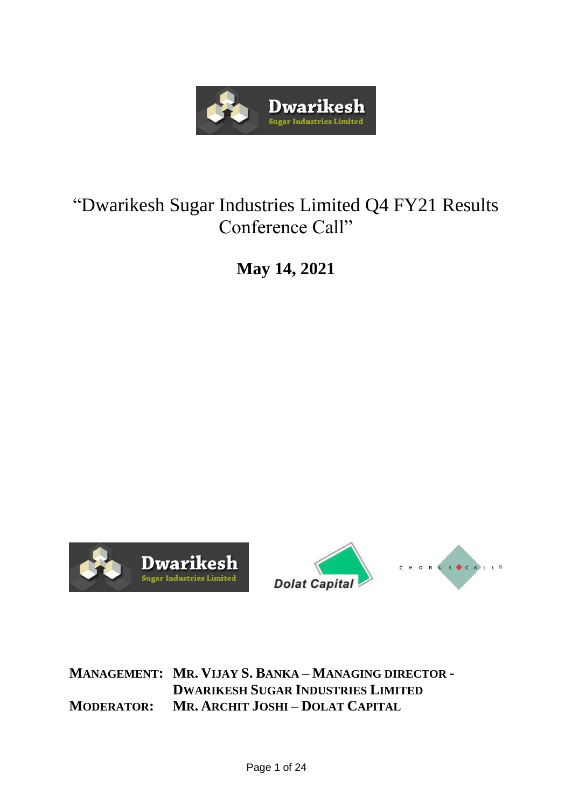

## "Dwarikesh Sugar Industries Limited Q4 FY21 Results Conference Call"

**May 14, 2021**





**MANAGEMENT: MR. VIJAY S. BANKA – MANAGING DIRECTOR - DWARIKESH SUGAR INDUSTRIES LIMITED MODERATOR: MR. ARCHIT JOSHI – DOLAT CAPITAL**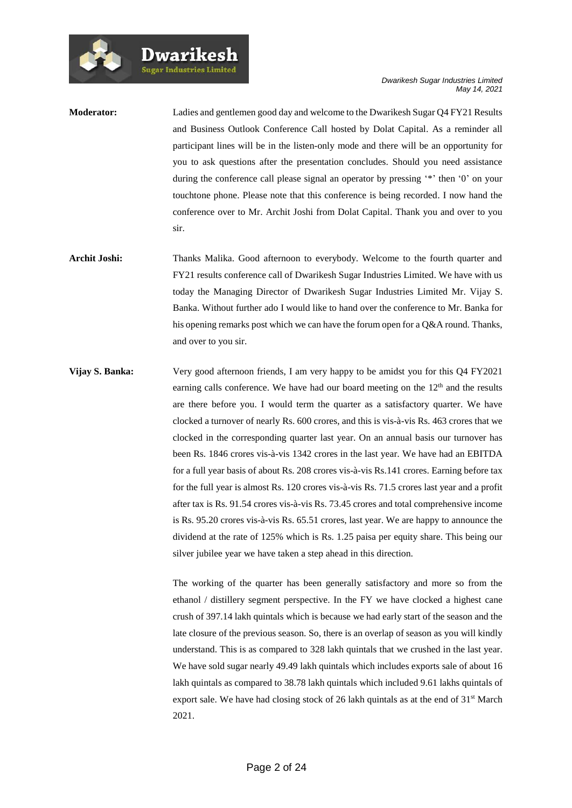| <b>Moderator:</b> | Ladies and gentlemen good day and welcome to the Dwarikesh Sugar Q4 FY21 Results       |
|-------------------|----------------------------------------------------------------------------------------|
|                   | and Business Outlook Conference Call hosted by Dolat Capital. As a reminder all        |
|                   | participant lines will be in the listen-only mode and there will be an opportunity for |
|                   | you to ask questions after the presentation concludes. Should you need assistance      |
|                   | during the conference call please signal an operator by pressing "*" then '0" on your  |
|                   | touchtone phone. Please note that this conference is being recorded. I now hand the    |
|                   | conference over to Mr. Archit Joshi from Dolat Capital. Thank you and over to you      |
|                   | sir.                                                                                   |
|                   |                                                                                        |

Dwarikesh

- **Archit Joshi:** Thanks Malika. Good afternoon to everybody. Welcome to the fourth quarter and FY21 results conference call of Dwarikesh Sugar Industries Limited. We have with us today the Managing Director of Dwarikesh Sugar Industries Limited Mr. Vijay S. Banka. Without further ado I would like to hand over the conference to Mr. Banka for his opening remarks post which we can have the forum open for a Q&A round. Thanks, and over to you sir.
- **Vijay S. Banka:** Very good afternoon friends, I am very happy to be amidst you for this Q4 FY2021 earning calls conference. We have had our board meeting on the  $12<sup>th</sup>$  and the results are there before you. I would term the quarter as a satisfactory quarter. We have clocked a turnover of nearly Rs. 600 crores, and this is vis-à-vis Rs. 463 crores that we clocked in the corresponding quarter last year. On an annual basis our turnover has been Rs. 1846 crores vis-à-vis 1342 crores in the last year. We have had an EBITDA for a full year basis of about Rs. 208 crores vis-à-vis Rs.141 crores. Earning before tax for the full year is almost Rs. 120 crores vis-à-vis Rs. 71.5 crores last year and a profit after tax is Rs. 91.54 crores vis-à-vis Rs. 73.45 crores and total comprehensive income is Rs. 95.20 crores vis-à-vis Rs. 65.51 crores, last year. We are happy to announce the dividend at the rate of 125% which is Rs. 1.25 paisa per equity share. This being our silver jubilee year we have taken a step ahead in this direction.

The working of the quarter has been generally satisfactory and more so from the ethanol / distillery segment perspective. In the FY we have clocked a highest cane crush of 397.14 lakh quintals which is because we had early start of the season and the late closure of the previous season. So, there is an overlap of season as you will kindly understand. This is as compared to 328 lakh quintals that we crushed in the last year. We have sold sugar nearly 49.49 lakh quintals which includes exports sale of about 16 lakh quintals as compared to 38.78 lakh quintals which included 9.61 lakhs quintals of export sale. We have had closing stock of 26 lakh quintals as at the end of 31<sup>st</sup> March 2021.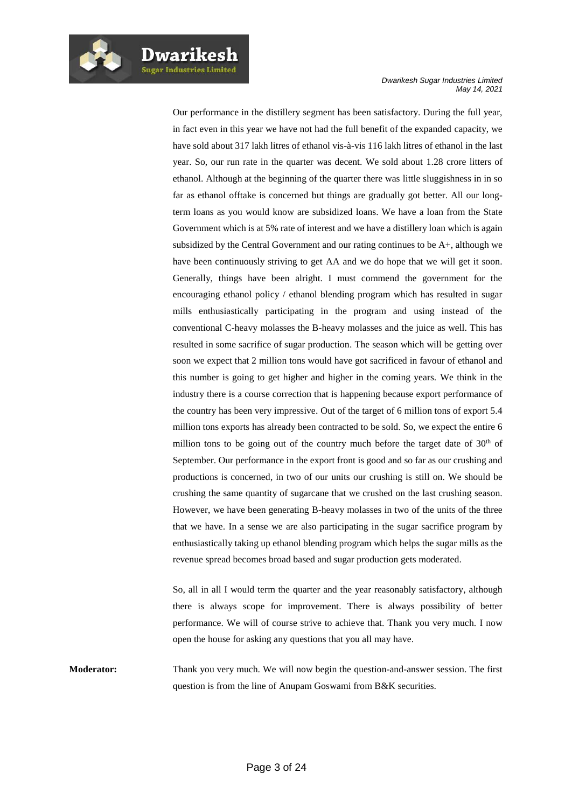Our performance in the distillery segment has been satisfactory. During the full year, in fact even in this year we have not had the full benefit of the expanded capacity, we have sold about 317 lakh litres of ethanol vis-à-vis 116 lakh litres of ethanol in the last year. So, our run rate in the quarter was decent. We sold about 1.28 crore litters of ethanol. Although at the beginning of the quarter there was little sluggishness in in so far as ethanol offtake is concerned but things are gradually got better. All our longterm loans as you would know are subsidized loans. We have a loan from the State Government which is at 5% rate of interest and we have a distillery loan which is again subsidized by the Central Government and our rating continues to be A+, although we have been continuously striving to get AA and we do hope that we will get it soon. Generally, things have been alright. I must commend the government for the encouraging ethanol policy / ethanol blending program which has resulted in sugar mills enthusiastically participating in the program and using instead of the conventional C-heavy molasses the B-heavy molasses and the juice as well. This has resulted in some sacrifice of sugar production. The season which will be getting over soon we expect that 2 million tons would have got sacrificed in favour of ethanol and this number is going to get higher and higher in the coming years. We think in the industry there is a course correction that is happening because export performance of the country has been very impressive. Out of the target of 6 million tons of export 5.4 million tons exports has already been contracted to be sold. So, we expect the entire 6 million tons to be going out of the country much before the target date of  $30<sup>th</sup>$  of September. Our performance in the export front is good and so far as our crushing and productions is concerned, in two of our units our crushing is still on. We should be crushing the same quantity of sugarcane that we crushed on the last crushing season. However, we have been generating B-heavy molasses in two of the units of the three that we have. In a sense we are also participating in the sugar sacrifice program by enthusiastically taking up ethanol blending program which helps the sugar mills as the revenue spread becomes broad based and sugar production gets moderated.

So, all in all I would term the quarter and the year reasonably satisfactory, although there is always scope for improvement. There is always possibility of better performance. We will of course strive to achieve that. Thank you very much. I now open the house for asking any questions that you all may have.

**Moderator:** Thank you very much. We will now begin the question-and-answer session. The first question is from the line of Anupam Goswami from B&K securities.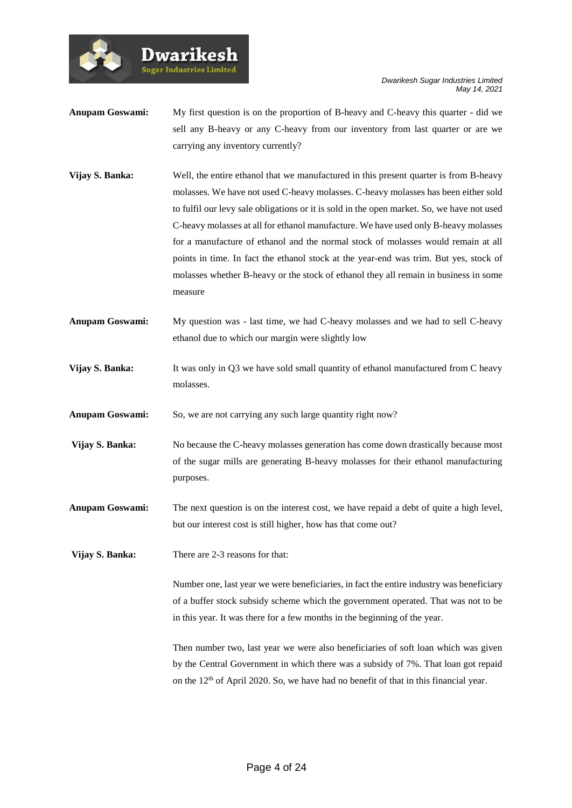*Dwarikesh Sugar Industries Limited May 14, 2021*

- **Anupam Goswami:** My first question is on the proportion of B-heavy and C-heavy this quarter did we sell any B-heavy or any C-heavy from our inventory from last quarter or are we carrying any inventory currently?
- **Vijay S. Banka:** Well, the entire ethanol that we manufactured in this present quarter is from B-heavy molasses. We have not used C-heavy molasses. C-heavy molasses has been either sold to fulfil our levy sale obligations or it is sold in the open market. So, we have not used C-heavy molasses at all for ethanol manufacture. We have used only B-heavy molasses for a manufacture of ethanol and the normal stock of molasses would remain at all points in time. In fact the ethanol stock at the year-end was trim. But yes, stock of molasses whether B-heavy or the stock of ethanol they all remain in business in some measure
- **Anupam Goswami:** My question was last time, we had C-heavy molasses and we had to sell C-heavy ethanol due to which our margin were slightly low
- **Vijay S. Banka:** It was only in Q3 we have sold small quantity of ethanol manufactured from C heavy molasses.

Anupam Goswami: So, we are not carrying any such large quantity right now?

**Vijay S. Banka:** No because the C-heavy molasses generation has come down drastically because most of the sugar mills are generating B-heavy molasses for their ethanol manufacturing purposes.

**Anupam Goswami:** The next question is on the interest cost, we have repaid a debt of quite a high level, but our interest cost is still higher, how has that come out?

**Vijay S. Banka:** There are 2-3 reasons for that:

**Dwarikes Sugar Industries Limited** 

> Number one, last year we were beneficiaries, in fact the entire industry was beneficiary of a buffer stock subsidy scheme which the government operated. That was not to be in this year. It was there for a few months in the beginning of the year.

> Then number two, last year we were also beneficiaries of soft loan which was given by the Central Government in which there was a subsidy of 7%. That loan got repaid on the 12<sup>th</sup> of April 2020. So, we have had no benefit of that in this financial year.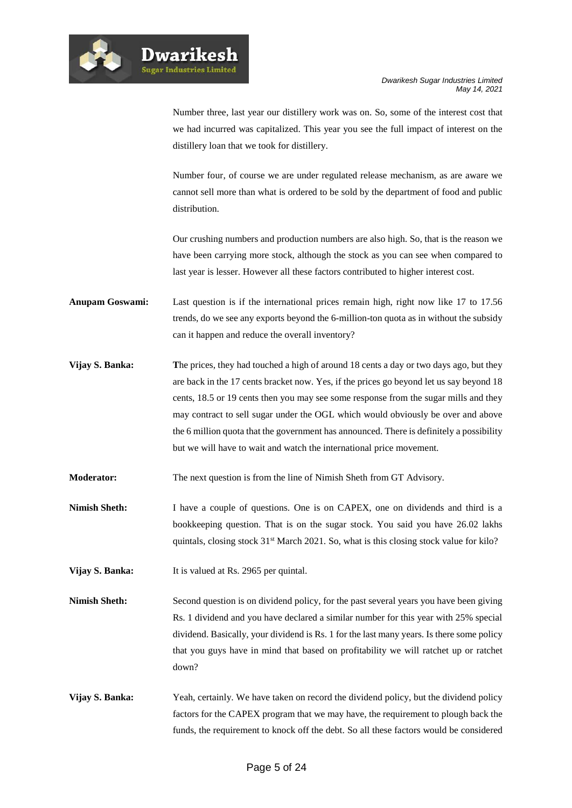

**Dwarikesl** .<br>Sugar Industries Limited

Number three, last year our distillery work was on. So, some of the interest cost that we had incurred was capitalized. This year you see the full impact of interest on the distillery loan that we took for distillery.

Number four, of course we are under regulated release mechanism, as are aware we cannot sell more than what is ordered to be sold by the department of food and public distribution.

Our crushing numbers and production numbers are also high. So, that is the reason we have been carrying more stock, although the stock as you can see when compared to last year is lesser. However all these factors contributed to higher interest cost.

**Anupam Goswami:** Last question is if the international prices remain high, right now like 17 to 17.56 trends, do we see any exports beyond the 6-million-ton quota as in without the subsidy can it happen and reduce the overall inventory?

**Vijay S. Banka: The prices, they had touched a high of around 18 cents a day or two days ago, but they** are back in the 17 cents bracket now. Yes, if the prices go beyond let us say beyond 18 cents, 18.5 or 19 cents then you may see some response from the sugar mills and they may contract to sell sugar under the OGL which would obviously be over and above the 6 million quota that the government has announced. There is definitely a possibility but we will have to wait and watch the international price movement.

**Moderator:** The next question is from the line of Nimish Sheth from GT Advisory.

**Nimish Sheth:** I have a couple of questions. One is on CAPEX, one on dividends and third is a bookkeeping question. That is on the sugar stock. You said you have 26.02 lakhs quintals, closing stock 31<sup>st</sup> March 2021. So, what is this closing stock value for kilo?

**Vijay S. Banka:** It is valued at Rs. 2965 per quintal.

- **Nimish Sheth:** Second question is on dividend policy, for the past several years you have been giving Rs. 1 dividend and you have declared a similar number for this year with 25% special dividend. Basically, your dividend is Rs. 1 for the last many years. Is there some policy that you guys have in mind that based on profitability we will ratchet up or ratchet down?
- **Vijay S. Banka:** Yeah, certainly. We have taken on record the dividend policy, but the dividend policy factors for the CAPEX program that we may have, the requirement to plough back the funds, the requirement to knock off the debt. So all these factors would be considered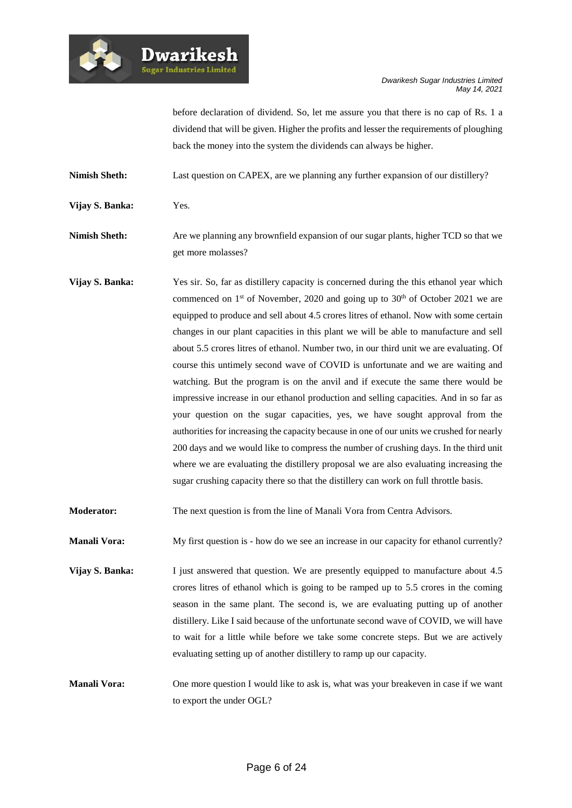

**Dwarikesh** 

before declaration of dividend. So, let me assure you that there is no cap of Rs. 1 a dividend that will be given. Higher the profits and lesser the requirements of ploughing back the money into the system the dividends can always be higher.

**Nimish Sheth:** Last question on CAPEX, are we planning any further expansion of our distillery?

**Vijay S. Banka:** Yes.

**Nimish Sheth:** Are we planning any brownfield expansion of our sugar plants, higher TCD so that we get more molasses?

**Vijay S. Banka:** Yes sir. So, far as distillery capacity is concerned during the this ethanol year which commenced on  $1<sup>st</sup>$  of November, 2020 and going up to  $30<sup>th</sup>$  of October 2021 we are equipped to produce and sell about 4.5 crores litres of ethanol. Now with some certain changes in our plant capacities in this plant we will be able to manufacture and sell about 5.5 crores litres of ethanol. Number two, in our third unit we are evaluating. Of course this untimely second wave of COVID is unfortunate and we are waiting and watching. But the program is on the anvil and if execute the same there would be impressive increase in our ethanol production and selling capacities. And in so far as your question on the sugar capacities, yes, we have sought approval from the authorities for increasing the capacity because in one of our units we crushed for nearly 200 days and we would like to compress the number of crushing days. In the third unit where we are evaluating the distillery proposal we are also evaluating increasing the sugar crushing capacity there so that the distillery can work on full throttle basis.

**Moderator:** The next question is from the line of Manali Vora from Centra Advisors.

**Manali Vora:** My first question is - how do we see an increase in our capacity for ethanol currently?

**Vijay S. Banka:** I just answered that question. We are presently equipped to manufacture about 4.5 crores litres of ethanol which is going to be ramped up to 5.5 crores in the coming season in the same plant. The second is, we are evaluating putting up of another distillery. Like I said because of the unfortunate second wave of COVID, we will have to wait for a little while before we take some concrete steps. But we are actively evaluating setting up of another distillery to ramp up our capacity.

**Manali Vora:** One more question I would like to ask is, what was your breakeven in case if we want to export the under OGL?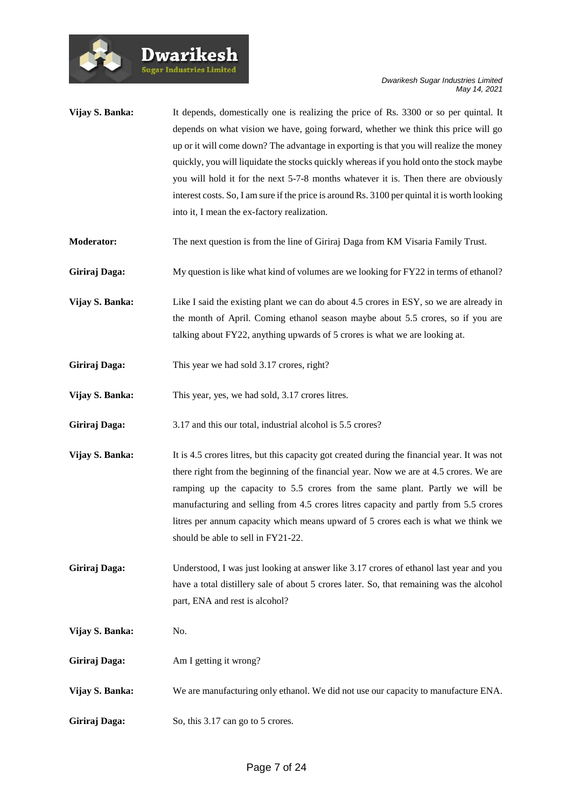| Vijay S. Banka: | It depends, domestically one is realizing the price of Rs. 3300 or so per quintal. It<br>depends on what vision we have, going forward, whether we think this price will go<br>up or it will come down? The advantage in exporting is that you will realize the money<br>quickly, you will liquidate the stocks quickly whereas if you hold onto the stock maybe<br>you will hold it for the next 5-7-8 months whatever it is. Then there are obviously<br>interest costs. So, I am sure if the price is around Rs. 3100 per quintal it is worth looking<br>into it, I mean the ex-factory realization. |
|-----------------|---------------------------------------------------------------------------------------------------------------------------------------------------------------------------------------------------------------------------------------------------------------------------------------------------------------------------------------------------------------------------------------------------------------------------------------------------------------------------------------------------------------------------------------------------------------------------------------------------------|
| Moderator:      | The next question is from the line of Giriraj Daga from KM Visaria Family Trust.                                                                                                                                                                                                                                                                                                                                                                                                                                                                                                                        |
| Giriraj Daga:   | My question is like what kind of volumes are we looking for FY22 in terms of ethanol?                                                                                                                                                                                                                                                                                                                                                                                                                                                                                                                   |
| Vijay S. Banka: | Like I said the existing plant we can do about 4.5 crores in ESY, so we are already in<br>the month of April. Coming ethanol season maybe about 5.5 crores, so if you are<br>talking about FY22, anything upwards of 5 crores is what we are looking at.                                                                                                                                                                                                                                                                                                                                                |
| Giriraj Daga:   | This year we had sold 3.17 crores, right?                                                                                                                                                                                                                                                                                                                                                                                                                                                                                                                                                               |
| Vijay S. Banka: | This year, yes, we had sold, 3.17 crores litres.                                                                                                                                                                                                                                                                                                                                                                                                                                                                                                                                                        |
| Giriraj Daga:   | 3.17 and this our total, industrial alcohol is 5.5 crores?                                                                                                                                                                                                                                                                                                                                                                                                                                                                                                                                              |
| Vijay S. Banka: | It is 4.5 crores litres, but this capacity got created during the financial year. It was not<br>there right from the beginning of the financial year. Now we are at 4.5 crores. We are<br>ramping up the capacity to 5.5 crores from the same plant. Partly we will be<br>manufacturing and selling from 4.5 crores litres capacity and partly from 5.5 crores<br>litres per annum capacity which means upward of 5 crores each is what we think we<br>should be able to sell in FY21-22.                                                                                                               |
| Giriraj Daga:   | Understood, I was just looking at answer like 3.17 crores of ethanol last year and you<br>have a total distillery sale of about 5 crores later. So, that remaining was the alcohol<br>part, ENA and rest is alcohol?                                                                                                                                                                                                                                                                                                                                                                                    |
| Vijay S. Banka: | No.                                                                                                                                                                                                                                                                                                                                                                                                                                                                                                                                                                                                     |
| Giriraj Daga:   | Am I getting it wrong?                                                                                                                                                                                                                                                                                                                                                                                                                                                                                                                                                                                  |
| Vijay S. Banka: | We are manufacturing only ethanol. We did not use our capacity to manufacture ENA.                                                                                                                                                                                                                                                                                                                                                                                                                                                                                                                      |
| Giriraj Daga:   | So, this 3.17 can go to 5 crores.                                                                                                                                                                                                                                                                                                                                                                                                                                                                                                                                                                       |

Dwarikesh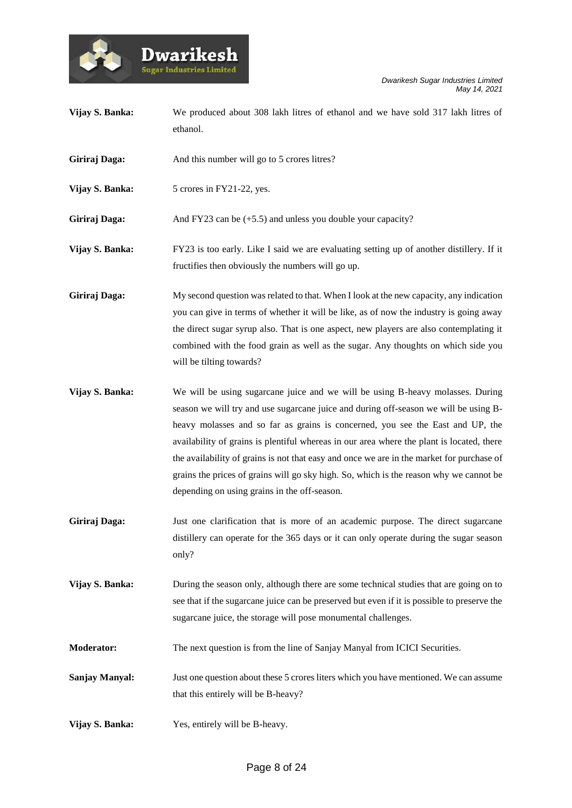



|                       | ethanol.                                                                                                                                                                                                                                                                                                                                                                                                                                                                                                                                                                                     |
|-----------------------|----------------------------------------------------------------------------------------------------------------------------------------------------------------------------------------------------------------------------------------------------------------------------------------------------------------------------------------------------------------------------------------------------------------------------------------------------------------------------------------------------------------------------------------------------------------------------------------------|
| Giriraj Daga:         | And this number will go to 5 crores litres?                                                                                                                                                                                                                                                                                                                                                                                                                                                                                                                                                  |
| Vijay S. Banka:       | 5 crores in FY21-22, yes.                                                                                                                                                                                                                                                                                                                                                                                                                                                                                                                                                                    |
| Giriraj Daga:         | And FY23 can be $(+5.5)$ and unless you double your capacity?                                                                                                                                                                                                                                                                                                                                                                                                                                                                                                                                |
| Vijay S. Banka:       | FY23 is too early. Like I said we are evaluating setting up of another distillery. If it<br>fructifies then obviously the numbers will go up.                                                                                                                                                                                                                                                                                                                                                                                                                                                |
| Giriraj Daga:         | My second question was related to that. When I look at the new capacity, any indication<br>you can give in terms of whether it will be like, as of now the industry is going away<br>the direct sugar syrup also. That is one aspect, new players are also contemplating it<br>combined with the food grain as well as the sugar. Any thoughts on which side you<br>will be tilting towards?                                                                                                                                                                                                 |
| Vijay S. Banka:       | We will be using sugarcane juice and we will be using B-heavy molasses. During<br>season we will try and use sugarcane juice and during off-season we will be using B-<br>heavy molasses and so far as grains is concerned, you see the East and UP, the<br>availability of grains is plentiful whereas in our area where the plant is located, there<br>the availability of grains is not that easy and once we are in the market for purchase of<br>grains the prices of grains will go sky high. So, which is the reason why we cannot be<br>depending on using grains in the off-season. |
| Giriraj Daga:         | Just one clarification that is more of an academic purpose. The direct sugarcane<br>distillery can operate for the 365 days or it can only operate during the sugar season<br>only?                                                                                                                                                                                                                                                                                                                                                                                                          |
| Vijay S. Banka:       | During the season only, although there are some technical studies that are going on to<br>see that if the sugarcane juice can be preserved but even if it is possible to preserve the<br>sugarcane juice, the storage will pose monumental challenges.                                                                                                                                                                                                                                                                                                                                       |
| <b>Moderator:</b>     | The next question is from the line of Sanjay Manyal from ICICI Securities.                                                                                                                                                                                                                                                                                                                                                                                                                                                                                                                   |
| <b>Sanjay Manyal:</b> | Just one question about these 5 crores liters which you have mentioned. We can assume<br>that this entirely will be B-heavy?                                                                                                                                                                                                                                                                                                                                                                                                                                                                 |
| Vijay S. Banka:       | Yes, entirely will be B-heavy.                                                                                                                                                                                                                                                                                                                                                                                                                                                                                                                                                               |

**Vijay S. Banka:** We produced about 308 lakh litres of ethanol and we have sold 317 lakh litres of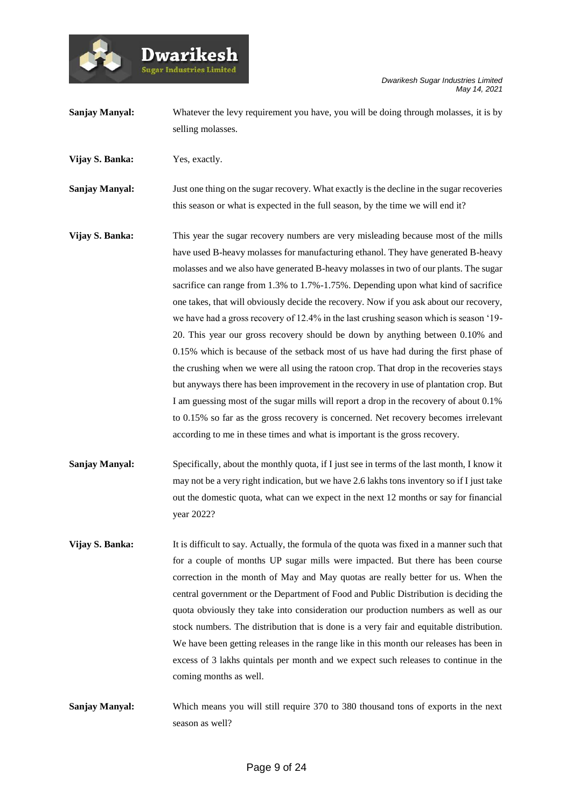**Sanjay Manyal:** Whatever the levy requirement you have, you will be doing through molasses, it is by selling molasses.

**Vijay S. Banka:** Yes, exactly.

.<br>Sugar Industries Limite

**Sanjay Manyal:** Just one thing on the sugar recovery. What exactly is the decline in the sugar recoveries this season or what is expected in the full season, by the time we will end it?

- **Vijay S. Banka:** This year the sugar recovery numbers are very misleading because most of the mills have used B-heavy molasses for manufacturing ethanol. They have generated B-heavy molasses and we also have generated B-heavy molasses in two of our plants. The sugar sacrifice can range from 1.3% to 1.7%-1.75%. Depending upon what kind of sacrifice one takes, that will obviously decide the recovery. Now if you ask about our recovery, we have had a gross recovery of 12.4% in the last crushing season which is season '19- 20. This year our gross recovery should be down by anything between 0.10% and 0.15% which is because of the setback most of us have had during the first phase of the crushing when we were all using the ratoon crop. That drop in the recoveries stays but anyways there has been improvement in the recovery in use of plantation crop. But I am guessing most of the sugar mills will report a drop in the recovery of about 0.1% to 0.15% so far as the gross recovery is concerned. Net recovery becomes irrelevant according to me in these times and what is important is the gross recovery.
- **Sanjay Manyal:** Specifically, about the monthly quota, if I just see in terms of the last month, I know it may not be a very right indication, but we have 2.6 lakhs tons inventory so if I just take out the domestic quota, what can we expect in the next 12 months or say for financial year 2022?
- **Vijay S. Banka:** It is difficult to say. Actually, the formula of the quota was fixed in a manner such that for a couple of months UP sugar mills were impacted. But there has been course correction in the month of May and May quotas are really better for us. When the central government or the Department of Food and Public Distribution is deciding the quota obviously they take into consideration our production numbers as well as our stock numbers. The distribution that is done is a very fair and equitable distribution. We have been getting releases in the range like in this month our releases has been in excess of 3 lakhs quintals per month and we expect such releases to continue in the coming months as well.
- **Sanjay Manyal:** Which means you will still require 370 to 380 thousand tons of exports in the next season as well?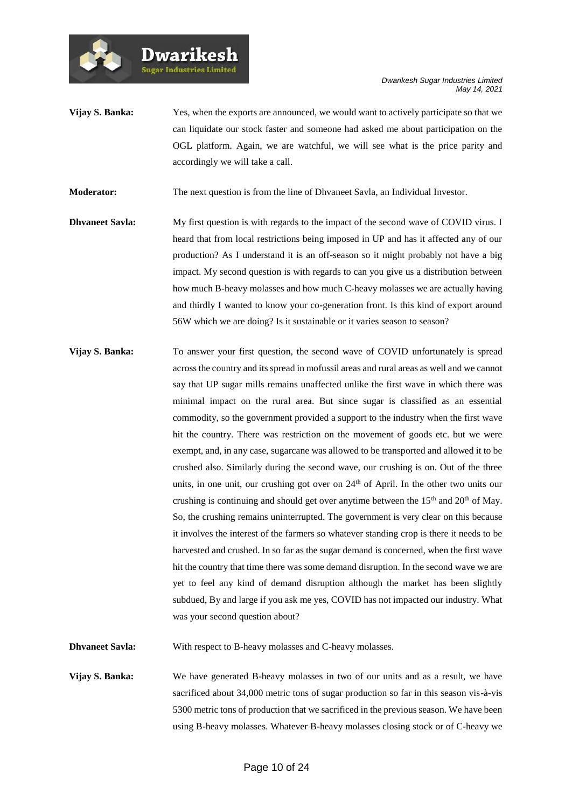**Vijay S. Banka:** Yes, when the exports are announced, we would want to actively participate so that we can liquidate our stock faster and someone had asked me about participation on the OGL platform. Again, we are watchful, we will see what is the price parity and accordingly we will take a call.

**Moderator:** The next question is from the line of Dhvaneet Savla, an Individual Investor.

**Dwarikesh Sugar Industries Limited** 

- **Dhvaneet Savla:** My first question is with regards to the impact of the second wave of COVID virus. I heard that from local restrictions being imposed in UP and has it affected any of our production? As I understand it is an off-season so it might probably not have a big impact. My second question is with regards to can you give us a distribution between how much B-heavy molasses and how much C-heavy molasses we are actually having and thirdly I wanted to know your co-generation front. Is this kind of export around 56W which we are doing? Is it sustainable or it varies season to season?
- **Vijay S. Banka:** To answer your first question, the second wave of COVID unfortunately is spread across the country and its spread in mofussil areas and rural areas as well and we cannot say that UP sugar mills remains unaffected unlike the first wave in which there was minimal impact on the rural area. But since sugar is classified as an essential commodity, so the government provided a support to the industry when the first wave hit the country. There was restriction on the movement of goods etc. but we were exempt, and, in any case, sugarcane was allowed to be transported and allowed it to be crushed also. Similarly during the second wave, our crushing is on. Out of the three units, in one unit, our crushing got over on  $24<sup>th</sup>$  of April. In the other two units our crushing is continuing and should get over anytime between the  $15<sup>th</sup>$  and  $20<sup>th</sup>$  of May. So, the crushing remains uninterrupted. The government is very clear on this because it involves the interest of the farmers so whatever standing crop is there it needs to be harvested and crushed. In so far as the sugar demand is concerned, when the first wave hit the country that time there was some demand disruption. In the second wave we are yet to feel any kind of demand disruption although the market has been slightly subdued, By and large if you ask me yes, COVID has not impacted our industry. What was your second question about?

**Dhvaneet Savla:** With respect to B-heavy molasses and C-heavy molasses.

**Vijay S. Banka:** We have generated B-heavy molasses in two of our units and as a result, we have sacrificed about 34,000 metric tons of sugar production so far in this season vis-à-vis 5300 metric tons of production that we sacrificed in the previous season. We have been using B-heavy molasses. Whatever B-heavy molasses closing stock or of C-heavy we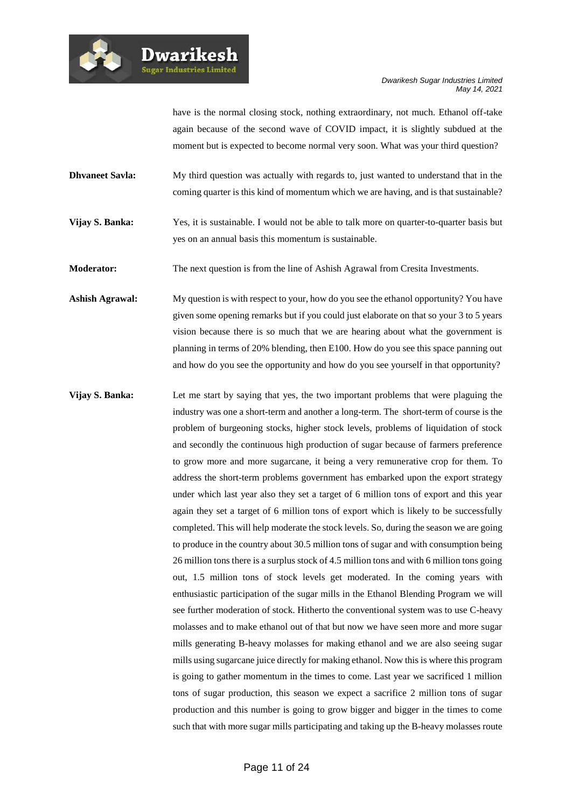

**Dwarikesh** 

have is the normal closing stock, nothing extraordinary, not much. Ethanol off-take again because of the second wave of COVID impact, it is slightly subdued at the moment but is expected to become normal very soon. What was your third question?

- **Dhvaneet Savla:** My third question was actually with regards to, just wanted to understand that in the coming quarter is this kind of momentum which we are having, and is that sustainable?
- **Vijay S. Banka:** Yes, it is sustainable. I would not be able to talk more on quarter-to-quarter basis but yes on an annual basis this momentum is sustainable.
- **Moderator:** The next question is from the line of Ashish Agrawal from Cresita Investments.
- **Ashish Agrawal:** My question is with respect to your, how do you see the ethanol opportunity? You have given some opening remarks but if you could just elaborate on that so your 3 to 5 years vision because there is so much that we are hearing about what the government is planning in terms of 20% blending, then E100. How do you see this space panning out and how do you see the opportunity and how do you see yourself in that opportunity?
- **Vijay S. Banka:** Let me start by saying that yes, the two important problems that were plaguing the industry was one a short-term and another a long-term. The short-term of course is the problem of burgeoning stocks, higher stock levels, problems of liquidation of stock and secondly the continuous high production of sugar because of farmers preference to grow more and more sugarcane, it being a very remunerative crop for them. To address the short-term problems government has embarked upon the export strategy under which last year also they set a target of 6 million tons of export and this year again they set a target of 6 million tons of export which is likely to be successfully completed. This will help moderate the stock levels. So, during the season we are going to produce in the country about 30.5 million tons of sugar and with consumption being 26 million tons there is a surplus stock of 4.5 million tons and with 6 million tons going out, 1.5 million tons of stock levels get moderated. In the coming years with enthusiastic participation of the sugar mills in the Ethanol Blending Program we will see further moderation of stock. Hitherto the conventional system was to use C-heavy molasses and to make ethanol out of that but now we have seen more and more sugar mills generating B-heavy molasses for making ethanol and we are also seeing sugar mills using sugarcane juice directly for making ethanol. Now this is where this program is going to gather momentum in the times to come. Last year we sacrificed 1 million tons of sugar production, this season we expect a sacrifice 2 million tons of sugar production and this number is going to grow bigger and bigger in the times to come such that with more sugar mills participating and taking up the B-heavy molasses route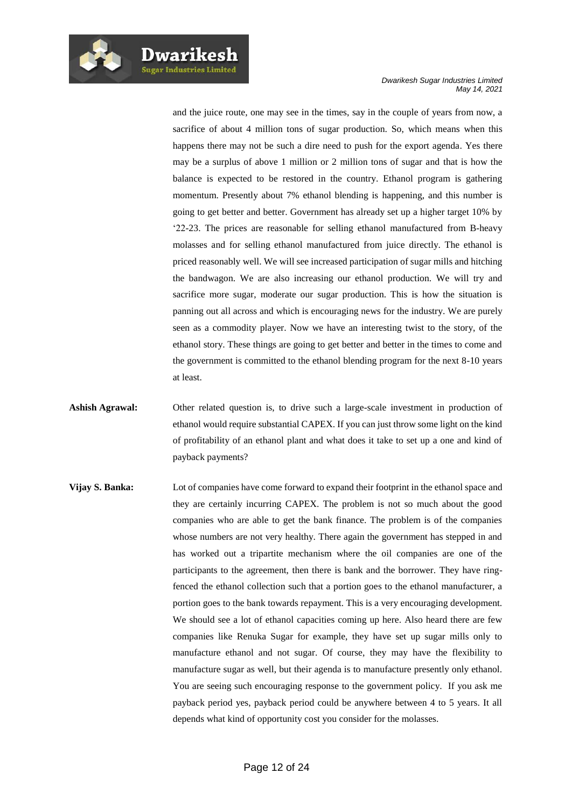and the juice route, one may see in the times, say in the couple of years from now, a sacrifice of about 4 million tons of sugar production. So, which means when this happens there may not be such a dire need to push for the export agenda. Yes there may be a surplus of above 1 million or 2 million tons of sugar and that is how the balance is expected to be restored in the country. Ethanol program is gathering momentum. Presently about 7% ethanol blending is happening, and this number is going to get better and better. Government has already set up a higher target 10% by '22-23. The prices are reasonable for selling ethanol manufactured from B-heavy molasses and for selling ethanol manufactured from juice directly. The ethanol is priced reasonably well. We will see increased participation of sugar mills and hitching the bandwagon. We are also increasing our ethanol production. We will try and sacrifice more sugar, moderate our sugar production. This is how the situation is panning out all across and which is encouraging news for the industry. We are purely seen as a commodity player. Now we have an interesting twist to the story, of the ethanol story. These things are going to get better and better in the times to come and the government is committed to the ethanol blending program for the next 8-10 years at least.

- **Ashish Agrawal:** Other related question is, to drive such a large-scale investment in production of ethanol would require substantial CAPEX. If you can just throw some light on the kind of profitability of an ethanol plant and what does it take to set up a one and kind of payback payments?
- **Vijay S. Banka:** Lot of companies have come forward to expand their footprint in the ethanol space and they are certainly incurring CAPEX. The problem is not so much about the good companies who are able to get the bank finance. The problem is of the companies whose numbers are not very healthy. There again the government has stepped in and has worked out a tripartite mechanism where the oil companies are one of the participants to the agreement, then there is bank and the borrower. They have ringfenced the ethanol collection such that a portion goes to the ethanol manufacturer, a portion goes to the bank towards repayment. This is a very encouraging development. We should see a lot of ethanol capacities coming up here. Also heard there are few companies like Renuka Sugar for example, they have set up sugar mills only to manufacture ethanol and not sugar. Of course, they may have the flexibility to manufacture sugar as well, but their agenda is to manufacture presently only ethanol. You are seeing such encouraging response to the government policy. If you ask me payback period yes, payback period could be anywhere between 4 to 5 years. It all depends what kind of opportunity cost you consider for the molasses.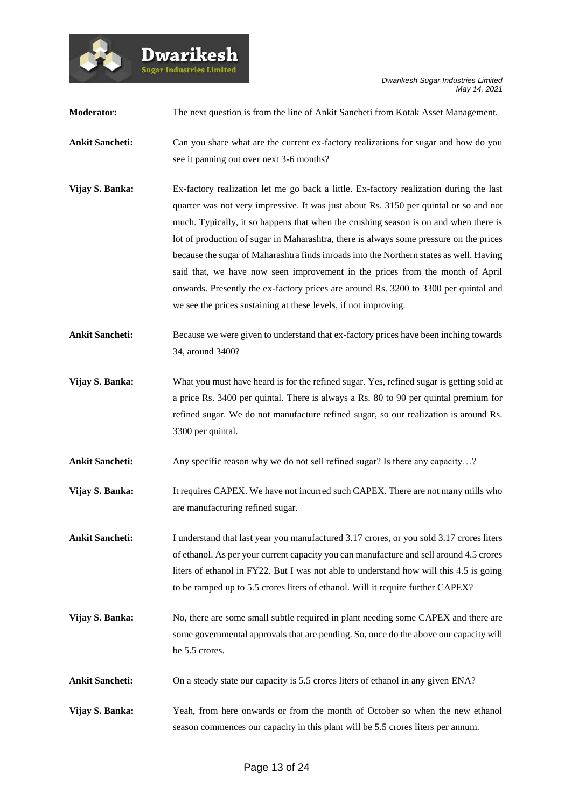

**Moderator:** The next question is from the line of Ankit Sancheti from Kotak Asset Management. **Ankit Sancheti:** Can you share what are the current ex-factory realizations for sugar and how do you see it panning out over next 3-6 months? **Vijay S. Banka:** Ex-factory realization let me go back a little. Ex-factory realization during the last quarter was not very impressive. It was just about Rs. 3150 per quintal or so and not much. Typically, it so happens that when the crushing season is on and when there is lot of production of sugar in Maharashtra, there is always some pressure on the prices because the sugar of Maharashtra finds inroads into the Northern states as well. Having said that, we have now seen improvement in the prices from the month of April onwards. Presently the ex-factory prices are around Rs. 3200 to 3300 per quintal and we see the prices sustaining at these levels, if not improving. **Ankit Sancheti:** Because we were given to understand that ex-factory prices have been inching towards 34, around 3400? **Vijay S. Banka:** What you must have heard is for the refined sugar. Yes, refined sugar is getting sold at a price Rs. 3400 per quintal. There is always a Rs. 80 to 90 per quintal premium for refined sugar. We do not manufacture refined sugar, so our realization is around Rs. 3300 per quintal. Ankit Sancheti: Any specific reason why we do not sell refined sugar? Is there any capacity...? **Vijay S. Banka:** It requires CAPEX. We have not incurred such CAPEX. There are not many mills who are manufacturing refined sugar. **Ankit Sancheti:** I understand that last year you manufactured 3.17 crores, or you sold 3.17 crores liters of ethanol. As per your current capacity you can manufacture and sell around 4.5 crores liters of ethanol in FY22. But I was not able to understand how will this 4.5 is going to be ramped up to 5.5 crores liters of ethanol. Will it require further CAPEX? **Vijay S. Banka:** No, there are some small subtle required in plant needing some CAPEX and there are some governmental approvals that are pending. So, once do the above our capacity will be 5.5 crores. **Ankit Sancheti:** On a steady state our capacity is 5.5 crores liters of ethanol in any given ENA? **Vijay S. Banka:** Yeah, from here onwards or from the month of October so when the new ethanol season commences our capacity in this plant will be 5.5 crores liters per annum.

**Dwarikes** .<br>Sugar Industries Limite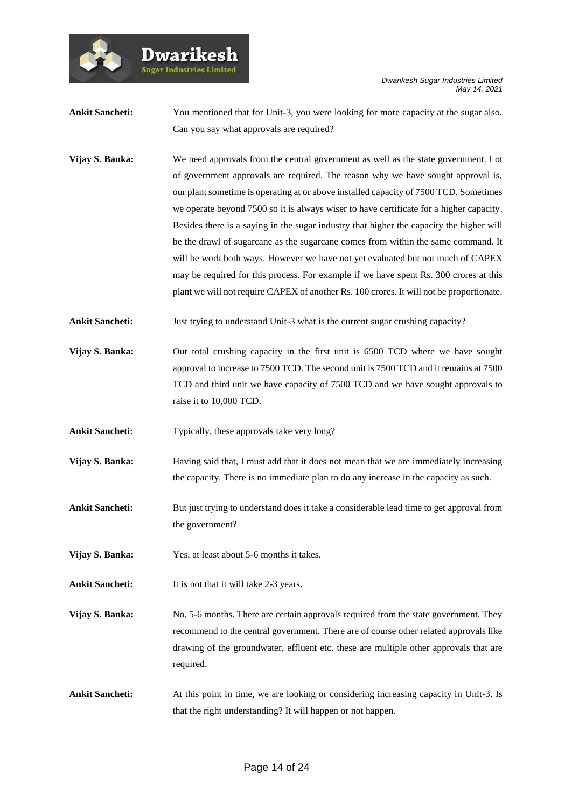

**Dwarikes** .<br>Sugar Industries Limited

**Ankit Sancheti:** You mentioned that for Unit-3, you were looking for more capacity at the sugar also. Can you say what approvals are required?

**Vijay S. Banka:** We need approvals from the central government as well as the state government. Lot of government approvals are required. The reason why we have sought approval is, our plant sometime is operating at or above installed capacity of 7500 TCD. Sometimes we operate beyond 7500 so it is always wiser to have certificate for a higher capacity. Besides there is a saying in the sugar industry that higher the capacity the higher will be the drawl of sugarcane as the sugarcane comes from within the same command. It will be work both ways. However we have not yet evaluated but not much of CAPEX may be required for this process. For example if we have spent Rs. 300 crores at this plant we will not require CAPEX of another Rs. 100 crores. It will not be proportionate.

Ankit Sancheti: Just trying to understand Unit-3 what is the current sugar crushing capacity?

**Vijay S. Banka:** Our total crushing capacity in the first unit is 6500 TCD where we have sought approval to increase to 7500 TCD. The second unit is 7500 TCD and it remains at 7500 TCD and third unit we have capacity of 7500 TCD and we have sought approvals to raise it to 10,000 TCD.

Ankit Sancheti: Typically, these approvals take very long?

**Vijay S. Banka:** Having said that, I must add that it does not mean that we are immediately increasing the capacity. There is no immediate plan to do any increase in the capacity as such.

Ankit Sancheti: But just trying to understand does it take a considerable lead time to get approval from the government?

**Vijay S. Banka:** Yes, at least about 5-6 months it takes.

Ankit Sancheti: It is not that it will take 2-3 years.

**Vijay S. Banka:** No, 5-6 months. There are certain approvals required from the state government. They recommend to the central government. There are of course other related approvals like drawing of the groundwater, effluent etc. these are multiple other approvals that are required.

**Ankit Sancheti:** At this point in time, we are looking or considering increasing capacity in Unit-3. Is that the right understanding? It will happen or not happen.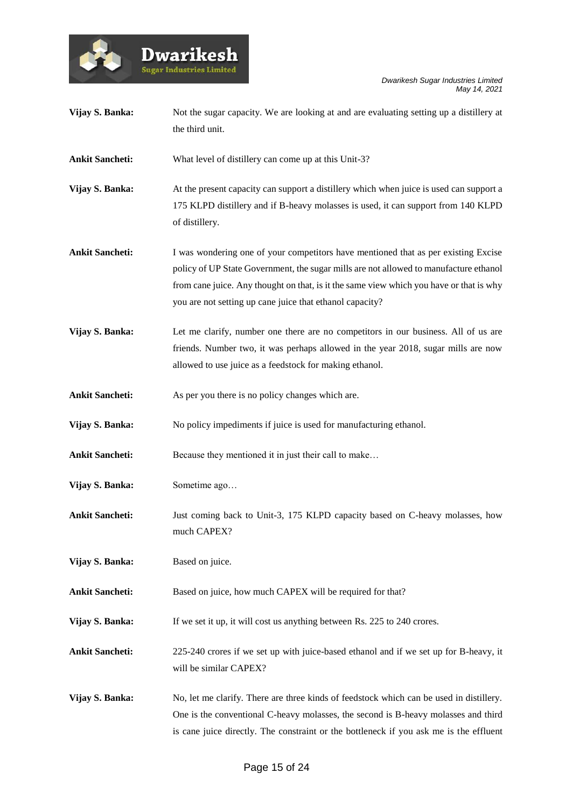



| Vijay S. Banka:        | Not the sugar capacity. We are looking at and are evaluating setting up a distillery at<br>the third unit.                                                                                                                                                                                                                         |
|------------------------|------------------------------------------------------------------------------------------------------------------------------------------------------------------------------------------------------------------------------------------------------------------------------------------------------------------------------------|
| <b>Ankit Sancheti:</b> | What level of distillery can come up at this Unit-3?                                                                                                                                                                                                                                                                               |
| Vijay S. Banka:        | At the present capacity can support a distillery which when juice is used can support a<br>175 KLPD distillery and if B-heavy molasses is used, it can support from 140 KLPD<br>of distillery.                                                                                                                                     |
| <b>Ankit Sancheti:</b> | I was wondering one of your competitors have mentioned that as per existing Excise<br>policy of UP State Government, the sugar mills are not allowed to manufacture ethanol<br>from cane juice. Any thought on that, is it the same view which you have or that is why<br>you are not setting up cane juice that ethanol capacity? |
| Vijay S. Banka:        | Let me clarify, number one there are no competitors in our business. All of us are<br>friends. Number two, it was perhaps allowed in the year 2018, sugar mills are now<br>allowed to use juice as a feedstock for making ethanol.                                                                                                 |
| <b>Ankit Sancheti:</b> | As per you there is no policy changes which are.                                                                                                                                                                                                                                                                                   |
| Vijay S. Banka:        | No policy impediments if juice is used for manufacturing ethanol.                                                                                                                                                                                                                                                                  |
| <b>Ankit Sancheti:</b> | Because they mentioned it in just their call to make                                                                                                                                                                                                                                                                               |
| Vijay S. Banka:        | Sometime ago                                                                                                                                                                                                                                                                                                                       |
| <b>Ankit Sancheti:</b> | Just coming back to Unit-3, 175 KLPD capacity based on C-heavy molasses, how<br>much CAPEX?                                                                                                                                                                                                                                        |
| Vijay S. Banka:        | Based on juice.                                                                                                                                                                                                                                                                                                                    |
| <b>Ankit Sancheti:</b> | Based on juice, how much CAPEX will be required for that?                                                                                                                                                                                                                                                                          |
| Vijay S. Banka:        | If we set it up, it will cost us anything between Rs. 225 to 240 crores.                                                                                                                                                                                                                                                           |
| <b>Ankit Sancheti:</b> | 225-240 crores if we set up with juice-based ethanol and if we set up for B-heavy, it<br>will be similar CAPEX?                                                                                                                                                                                                                    |
| Vijay S. Banka:        | No, let me clarify. There are three kinds of feedstock which can be used in distillery.<br>One is the conventional C-heavy molasses, the second is B-heavy molasses and third<br>is cane juice directly. The constraint or the bottleneck if you ask me is the effluent                                                            |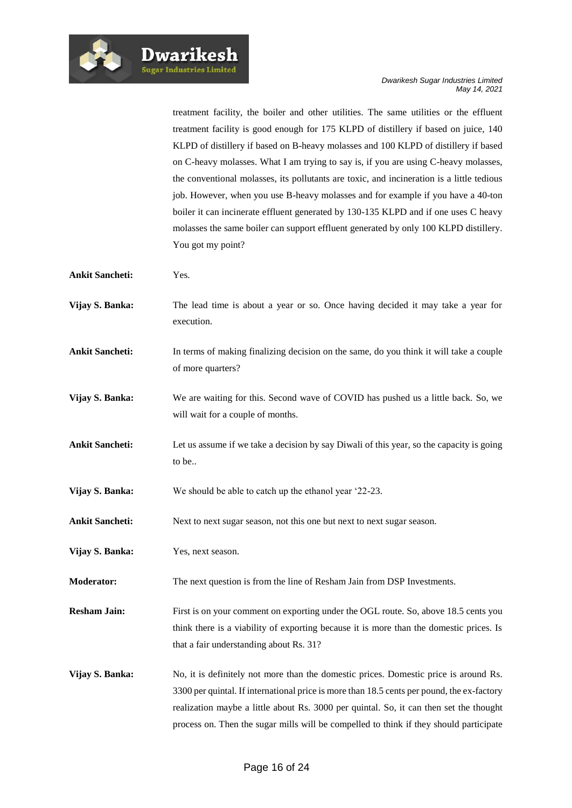treatment facility, the boiler and other utilities. The same utilities or the effluent treatment facility is good enough for 175 KLPD of distillery if based on juice, 140 KLPD of distillery if based on B-heavy molasses and 100 KLPD of distillery if based on C-heavy molasses. What I am trying to say is, if you are using C-heavy molasses, the conventional molasses, its pollutants are toxic, and incineration is a little tedious job. However, when you use B-heavy molasses and for example if you have a 40-ton boiler it can incinerate effluent generated by 130-135 KLPD and if one uses C heavy molasses the same boiler can support effluent generated by only 100 KLPD distillery. You got my point?

- **Ankit Sancheti:** Yes.
- **Vijay S. Banka:** The lead time is about a year or so. Once having decided it may take a year for execution.
- **Ankit Sancheti:** In terms of making finalizing decision on the same, do you think it will take a couple of more quarters?
- **Vijay S. Banka:** We are waiting for this. Second wave of COVID has pushed us a little back. So, we will wait for a couple of months.
- **Ankit Sancheti:** Let us assume if we take a decision by say Diwali of this year, so the capacity is going to be..
- **Vijay S. Banka:** We should be able to catch up the ethanol year '22-23.
- Ankit Sancheti: Next to next sugar season, not this one but next to next sugar season.
- **Vijay S. Banka:** Yes, next season.
- **Moderator:** The next question is from the line of Resham Jain from DSP Investments.
- **Resham Jain:** First is on your comment on exporting under the OGL route. So, above 18.5 cents you think there is a viability of exporting because it is more than the domestic prices. Is that a fair understanding about Rs. 31?
- **Vijay S. Banka:** No, it is definitely not more than the domestic prices. Domestic price is around Rs. 3300 per quintal. If international price is more than 18.5 cents per pound, the ex-factory realization maybe a little about Rs. 3000 per quintal. So, it can then set the thought process on. Then the sugar mills will be compelled to think if they should participate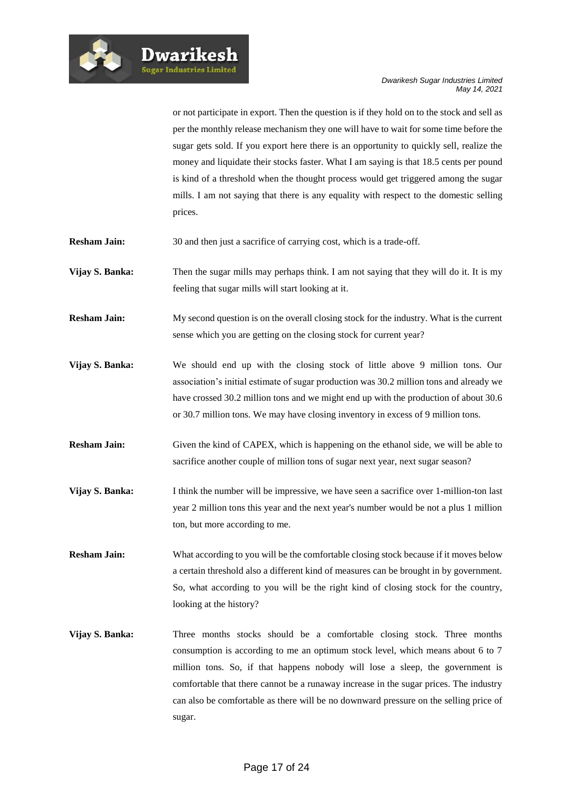or not participate in export. Then the question is if they hold on to the stock and sell as per the monthly release mechanism they one will have to wait for some time before the sugar gets sold. If you export here there is an opportunity to quickly sell, realize the money and liquidate their stocks faster. What I am saying is that 18.5 cents per pound is kind of a threshold when the thought process would get triggered among the sugar mills. I am not saying that there is any equality with respect to the domestic selling prices.

**Resham Jain:** 30 and then just a sacrifice of carrying cost, which is a trade-off.

- **Vijay S. Banka:** Then the sugar mills may perhaps think. I am not saying that they will do it. It is my feeling that sugar mills will start looking at it.
- **Resham Jain:** My second question is on the overall closing stock for the industry. What is the current sense which you are getting on the closing stock for current year?
- **Vijay S. Banka:** We should end up with the closing stock of little above 9 million tons. Our association's initial estimate of sugar production was 30.2 million tons and already we have crossed 30.2 million tons and we might end up with the production of about 30.6 or 30.7 million tons. We may have closing inventory in excess of 9 million tons.
- **Resham Jain:** Given the kind of CAPEX, which is happening on the ethanol side, we will be able to sacrifice another couple of million tons of sugar next year, next sugar season?
- **Vijay S. Banka:** I think the number will be impressive, we have seen a sacrifice over 1-million-ton last year 2 million tons this year and the next year's number would be not a plus 1 million ton, but more according to me.
- **Resham Jain:** What according to you will be the comfortable closing stock because if it moves below a certain threshold also a different kind of measures can be brought in by government. So, what according to you will be the right kind of closing stock for the country, looking at the history?
- **Vijay S. Banka:** Three months stocks should be a comfortable closing stock. Three months consumption is according to me an optimum stock level, which means about 6 to 7 million tons. So, if that happens nobody will lose a sleep, the government is comfortable that there cannot be a runaway increase in the sugar prices. The industry can also be comfortable as there will be no downward pressure on the selling price of sugar.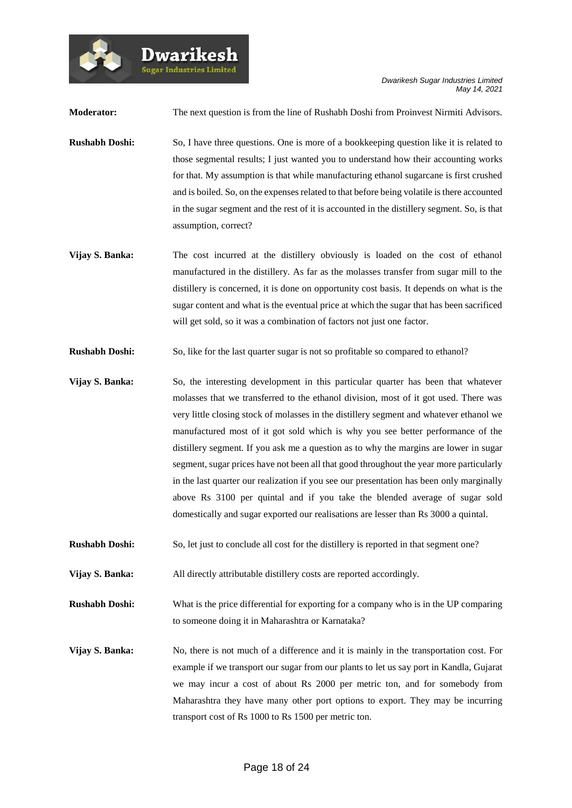*Dwarikesh Sugar Industries Limited May 14, 2021*

**Moderator:** The next question is from the line of Rushabh Doshi from Proinvest Nirmiti Advisors.

**Dwarikes** .<br>Sugar Industries Limite

**Rushabh Doshi:** So, I have three questions. One is more of a bookkeeping question like it is related to those segmental results; I just wanted you to understand how their accounting works for that. My assumption is that while manufacturing ethanol sugarcane is first crushed and is boiled. So, on the expenses related to that before being volatile is there accounted in the sugar segment and the rest of it is accounted in the distillery segment. So, is that assumption, correct?

- **Vijay S. Banka:** The cost incurred at the distillery obviously is loaded on the cost of ethanol manufactured in the distillery. As far as the molasses transfer from sugar mill to the distillery is concerned, it is done on opportunity cost basis. It depends on what is the sugar content and what is the eventual price at which the sugar that has been sacrificed will get sold, so it was a combination of factors not just one factor.
- **Rushabh Doshi:** So, like for the last quarter sugar is not so profitable so compared to ethanol?
- **Vijay S. Banka:** So, the interesting development in this particular quarter has been that whatever molasses that we transferred to the ethanol division, most of it got used. There was very little closing stock of molasses in the distillery segment and whatever ethanol we manufactured most of it got sold which is why you see better performance of the distillery segment. If you ask me a question as to why the margins are lower in sugar segment, sugar prices have not been all that good throughout the year more particularly in the last quarter our realization if you see our presentation has been only marginally above Rs 3100 per quintal and if you take the blended average of sugar sold domestically and sugar exported our realisations are lesser than Rs 3000 a quintal.
- **Rushabh Doshi:** So, let just to conclude all cost for the distillery is reported in that segment one?

**Vijay S. Banka:** All directly attributable distillery costs are reported accordingly.

**Rushabh Doshi:** What is the price differential for exporting for a company who is in the UP comparing to someone doing it in Maharashtra or Karnataka?

**Vijay S. Banka:** No, there is not much of a difference and it is mainly in the transportation cost. For example if we transport our sugar from our plants to let us say port in Kandla, Gujarat we may incur a cost of about Rs 2000 per metric ton, and for somebody from Maharashtra they have many other port options to export. They may be incurring transport cost of Rs 1000 to Rs 1500 per metric ton.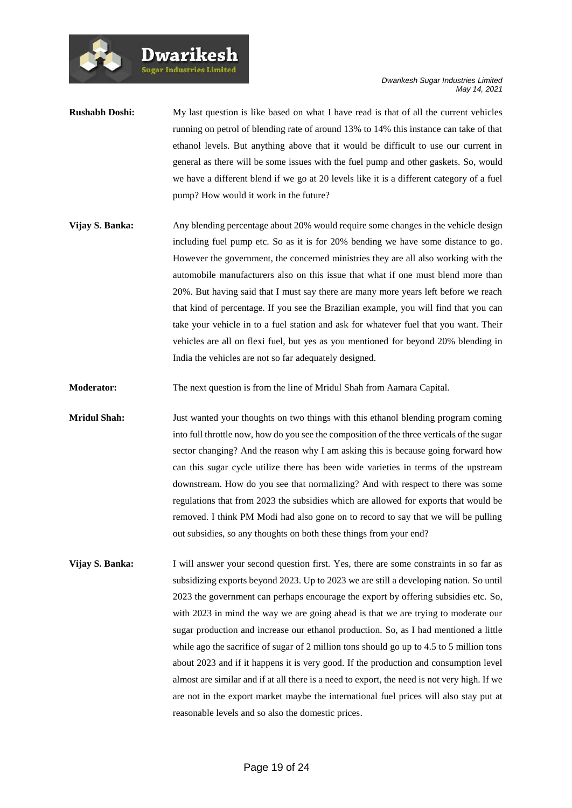**Rushabh Doshi:** My last question is like based on what I have read is that of all the current vehicles running on petrol of blending rate of around 13% to 14% this instance can take of that ethanol levels. But anything above that it would be difficult to use our current in general as there will be some issues with the fuel pump and other gaskets. So, would we have a different blend if we go at 20 levels like it is a different category of a fuel pump? How would it work in the future?

**Sugar Industries Limited** 

**Vijay S. Banka:** Any blending percentage about 20% would require some changes in the vehicle design including fuel pump etc. So as it is for 20% bending we have some distance to go. However the government, the concerned ministries they are all also working with the automobile manufacturers also on this issue that what if one must blend more than 20%. But having said that I must say there are many more years left before we reach that kind of percentage. If you see the Brazilian example, you will find that you can take your vehicle in to a fuel station and ask for whatever fuel that you want. Their vehicles are all on flexi fuel, but yes as you mentioned for beyond 20% blending in India the vehicles are not so far adequately designed.

**Moderator:** The next question is from the line of Mridul Shah from Aamara Capital.

**Mridul Shah:** Just wanted your thoughts on two things with this ethanol blending program coming into full throttle now, how do you see the composition of the three verticals of the sugar sector changing? And the reason why I am asking this is because going forward how can this sugar cycle utilize there has been wide varieties in terms of the upstream downstream. How do you see that normalizing? And with respect to there was some regulations that from 2023 the subsidies which are allowed for exports that would be removed. I think PM Modi had also gone on to record to say that we will be pulling out subsidies, so any thoughts on both these things from your end?

**Vijay S. Banka:** I will answer your second question first. Yes, there are some constraints in so far as subsidizing exports beyond 2023. Up to 2023 we are still a developing nation. So until 2023 the government can perhaps encourage the export by offering subsidies etc. So, with 2023 in mind the way we are going ahead is that we are trying to moderate our sugar production and increase our ethanol production. So, as I had mentioned a little while ago the sacrifice of sugar of 2 million tons should go up to 4.5 to 5 million tons about 2023 and if it happens it is very good. If the production and consumption level almost are similar and if at all there is a need to export, the need is not very high. If we are not in the export market maybe the international fuel prices will also stay put at reasonable levels and so also the domestic prices.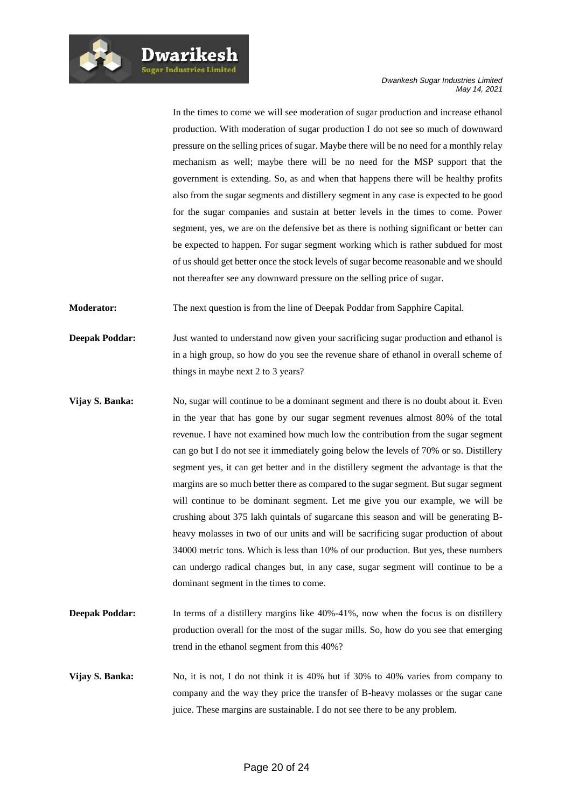**Dwarikesh** .<br>Sugar Industries Limited

In the times to come we will see moderation of sugar production and increase ethanol production. With moderation of sugar production I do not see so much of downward pressure on the selling prices of sugar. Maybe there will be no need for a monthly relay mechanism as well; maybe there will be no need for the MSP support that the government is extending. So, as and when that happens there will be healthy profits also from the sugar segments and distillery segment in any case is expected to be good for the sugar companies and sustain at better levels in the times to come. Power segment, yes, we are on the defensive bet as there is nothing significant or better can be expected to happen. For sugar segment working which is rather subdued for most of us should get better once the stock levels of sugar become reasonable and we should not thereafter see any downward pressure on the selling price of sugar.

**Moderator:** The next question is from the line of Deepak Poddar from Sapphire Capital.

- **Deepak Poddar:** Just wanted to understand now given your sacrificing sugar production and ethanol is in a high group, so how do you see the revenue share of ethanol in overall scheme of things in maybe next 2 to 3 years?
- **Vijay S. Banka:** No, sugar will continue to be a dominant segment and there is no doubt about it. Even in the year that has gone by our sugar segment revenues almost 80% of the total revenue. I have not examined how much low the contribution from the sugar segment can go but I do not see it immediately going below the levels of 70% or so. Distillery segment yes, it can get better and in the distillery segment the advantage is that the margins are so much better there as compared to the sugar segment. But sugar segment will continue to be dominant segment. Let me give you our example, we will be crushing about 375 lakh quintals of sugarcane this season and will be generating Bheavy molasses in two of our units and will be sacrificing sugar production of about 34000 metric tons. Which is less than 10% of our production. But yes, these numbers can undergo radical changes but, in any case, sugar segment will continue to be a dominant segment in the times to come.
- **Deepak Poddar:** In terms of a distillery margins like 40%-41%, now when the focus is on distillery production overall for the most of the sugar mills. So, how do you see that emerging trend in the ethanol segment from this 40%?
- **Vijay S. Banka:** No, it is not, I do not think it is 40% but if 30% to 40% varies from company to company and the way they price the transfer of B-heavy molasses or the sugar cane juice. These margins are sustainable. I do not see there to be any problem.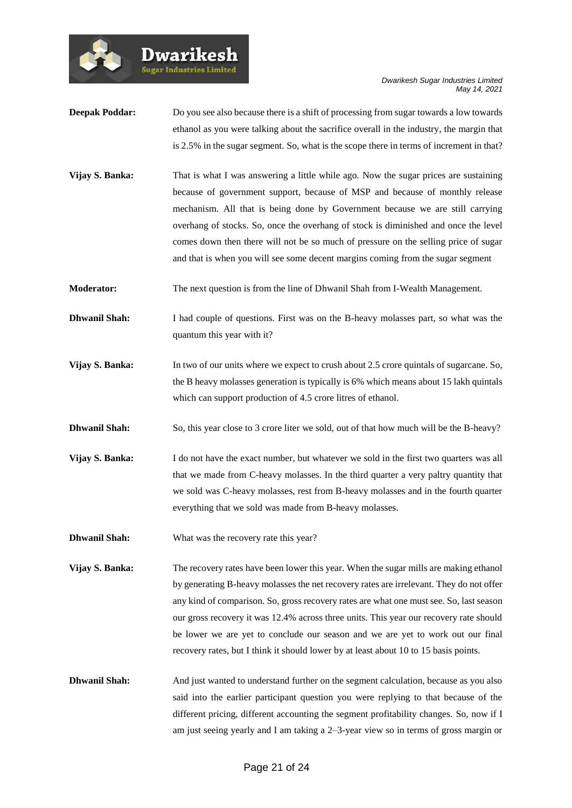

- **Deepak Poddar:** Do you see also because there is a shift of processing from sugar towards a low towards ethanol as you were talking about the sacrifice overall in the industry, the margin that is 2.5% in the sugar segment. So, what is the scope there in terms of increment in that?
- **Vijay S. Banka:** That is what I was answering a little while ago. Now the sugar prices are sustaining because of government support, because of MSP and because of monthly release mechanism. All that is being done by Government because we are still carrying overhang of stocks. So, once the overhang of stock is diminished and once the level comes down then there will not be so much of pressure on the selling price of sugar and that is when you will see some decent margins coming from the sugar segment
- **Moderator:** The next question is from the line of Dhwanil Shah from I-Wealth Management.
- **Dhwanil Shah:** I had couple of questions. First was on the B-heavy molasses part, so what was the quantum this year with it?
- **Vijay S. Banka:** In two of our units where we expect to crush about 2.5 crore quintals of sugarcane. So, the B heavy molasses generation is typically is 6% which means about 15 lakh quintals which can support production of 4.5 crore litres of ethanol.
- **Dhwanil Shah:** So, this year close to 3 crore liter we sold, out of that how much will be the B-heavy?
- **Vijay S. Banka:** I do not have the exact number, but whatever we sold in the first two quarters was all that we made from C-heavy molasses. In the third quarter a very paltry quantity that we sold was C-heavy molasses, rest from B-heavy molasses and in the fourth quarter everything that we sold was made from B-heavy molasses.
- **Dhwanil Shah:** What was the recovery rate this year?

**Dwarikesh** .<br>Sugar Industries Limited

- **Vijay S. Banka:** The recovery rates have been lower this year. When the sugar mills are making ethanol by generating B-heavy molasses the net recovery rates are irrelevant. They do not offer any kind of comparison. So, gross recovery rates are what one must see. So, last season our gross recovery it was 12.4% across three units. This year our recovery rate should be lower we are yet to conclude our season and we are yet to work out our final recovery rates, but I think it should lower by at least about 10 to 15 basis points.
- **Dhwanil Shah:** And just wanted to understand further on the segment calculation, because as you also said into the earlier participant question you were replying to that because of the different pricing, different accounting the segment profitability changes. So, now if I am just seeing yearly and I am taking a 2–3-year view so in terms of gross margin or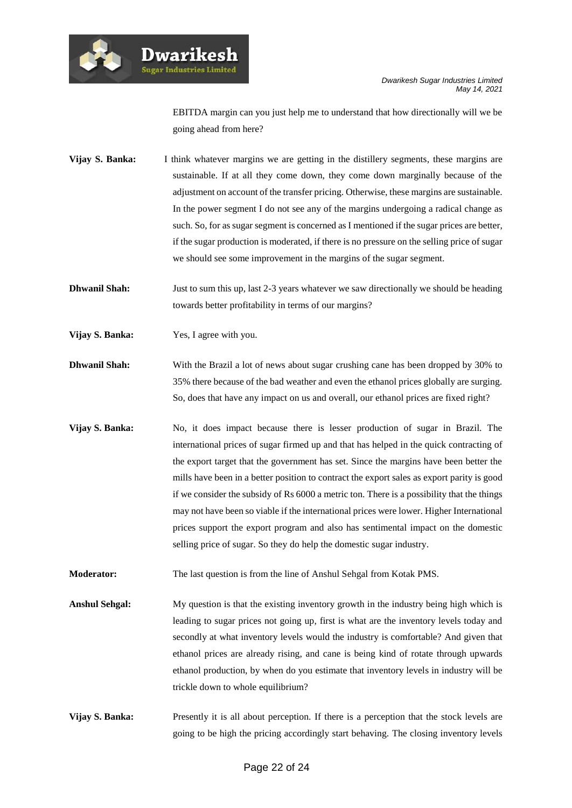

EBITDA margin can you just help me to understand that how directionally will we be going ahead from here?

**Vijay S. Banka:** I think whatever margins we are getting in the distillery segments, these margins are sustainable. If at all they come down, they come down marginally because of the adjustment on account of the transfer pricing. Otherwise, these margins are sustainable. In the power segment I do not see any of the margins undergoing a radical change as such. So, for as sugar segment is concerned as I mentioned if the sugar prices are better, if the sugar production is moderated, if there is no pressure on the selling price of sugar we should see some improvement in the margins of the sugar segment.

**Dhwanil Shah:** Just to sum this up, last 2-3 years whatever we saw directionally we should be heading towards better profitability in terms of our margins?

**Vijay S. Banka:** Yes, I agree with you.

**Dwarikesl** .<br>Sugar Industries Limite

**Dhwanil Shah:** With the Brazil a lot of news about sugar crushing cane has been dropped by 30% to 35% there because of the bad weather and even the ethanol prices globally are surging. So, does that have any impact on us and overall, our ethanol prices are fixed right?

**Vijay S. Banka:** No, it does impact because there is lesser production of sugar in Brazil. The international prices of sugar firmed up and that has helped in the quick contracting of the export target that the government has set. Since the margins have been better the mills have been in a better position to contract the export sales as export parity is good if we consider the subsidy of Rs 6000 a metric ton. There is a possibility that the things may not have been so viable if the international prices were lower. Higher International prices support the export program and also has sentimental impact on the domestic selling price of sugar. So they do help the domestic sugar industry.

**Moderator:** The last question is from the line of Anshul Sehgal from Kotak PMS.

**Anshul Sehgal:** My question is that the existing inventory growth in the industry being high which is leading to sugar prices not going up, first is what are the inventory levels today and secondly at what inventory levels would the industry is comfortable? And given that ethanol prices are already rising, and cane is being kind of rotate through upwards ethanol production, by when do you estimate that inventory levels in industry will be trickle down to whole equilibrium?

**Vijay S. Banka:** Presently it is all about perception. If there is a perception that the stock levels are going to be high the pricing accordingly start behaving. The closing inventory levels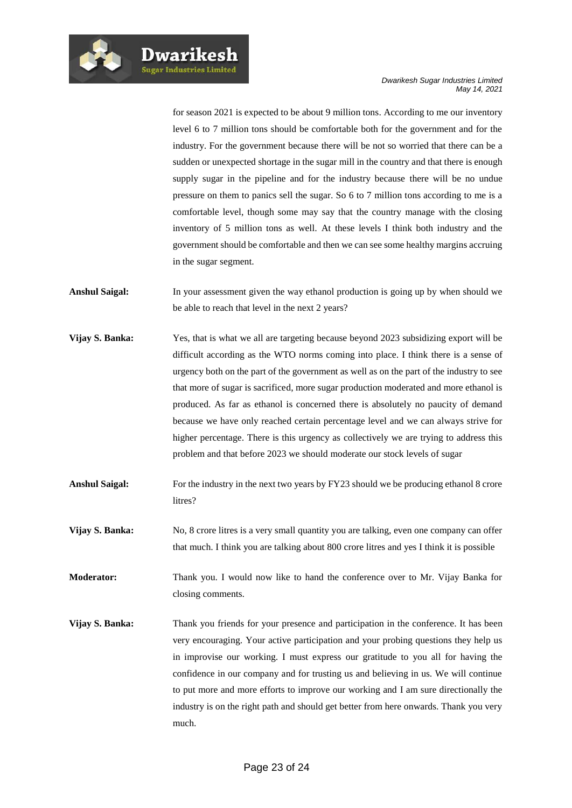for season 2021 is expected to be about 9 million tons. According to me our inventory level 6 to 7 million tons should be comfortable both for the government and for the industry. For the government because there will be not so worried that there can be a sudden or unexpected shortage in the sugar mill in the country and that there is enough supply sugar in the pipeline and for the industry because there will be no undue pressure on them to panics sell the sugar. So 6 to 7 million tons according to me is a comfortable level, though some may say that the country manage with the closing inventory of 5 million tons as well. At these levels I think both industry and the government should be comfortable and then we can see some healthy margins accruing in the sugar segment.

- **Anshul Saigal:** In your assessment given the way ethanol production is going up by when should we be able to reach that level in the next 2 years?
- **Vijay S. Banka:** Yes, that is what we all are targeting because beyond 2023 subsidizing export will be difficult according as the WTO norms coming into place. I think there is a sense of urgency both on the part of the government as well as on the part of the industry to see that more of sugar is sacrificed, more sugar production moderated and more ethanol is produced. As far as ethanol is concerned there is absolutely no paucity of demand because we have only reached certain percentage level and we can always strive for higher percentage. There is this urgency as collectively we are trying to address this problem and that before 2023 we should moderate our stock levels of sugar
- Anshul Saigal: For the industry in the next two years by FY23 should we be producing ethanol 8 crore litres?
- **Vijay S. Banka:** No, 8 crore litres is a very small quantity you are talking, even one company can offer that much. I think you are talking about 800 crore litres and yes I think it is possible
- **Moderator:** Thank you. I would now like to hand the conference over to Mr. Vijay Banka for closing comments.
- **Vijay S. Banka:** Thank you friends for your presence and participation in the conference. It has been very encouraging. Your active participation and your probing questions they help us in improvise our working. I must express our gratitude to you all for having the confidence in our company and for trusting us and believing in us. We will continue to put more and more efforts to improve our working and I am sure directionally the industry is on the right path and should get better from here onwards. Thank you very much.